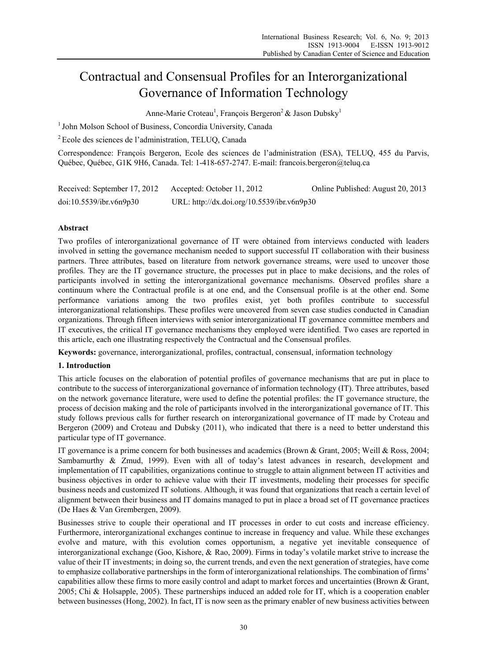# Contractual and Consensual Profiles for an Interorganizational Governance of Information Technology

Anne-Marie Croteau<sup>1</sup>, François Bergeron<sup>2</sup> & Jason Dubsky<sup>1</sup>

<sup>1</sup> John Molson School of Business, Concordia University, Canada

2 Ecole des sciences de l'administration, TELUQ, Canada

Correspondence: François Bergeron, Ecole des sciences de l'administration (ESA), TELUQ, 455 du Parvis, Québec, Québec, G1K 9H6, Canada. Tel: 1-418-657-2747. E-mail: francois.bergeron@teluq.ca

| Received: September 17, 2012 | Accepted: October 11, 2012                 | Online Published: August 20, 2013 |
|------------------------------|--------------------------------------------|-----------------------------------|
| doi:10.5539/ibr.v6n9p30      | URL: http://dx.doi.org/10.5539/ibr.v6n9p30 |                                   |

# **Abstract**

Two profiles of interorganizational governance of IT were obtained from interviews conducted with leaders involved in setting the governance mechanism needed to support successful IT collaboration with their business partners. Three attributes, based on literature from network governance streams, were used to uncover those profiles. They are the IT governance structure, the processes put in place to make decisions, and the roles of participants involved in setting the interorganizational governance mechanisms. Observed profiles share a continuum where the Contractual profile is at one end, and the Consensual profile is at the other end. Some performance variations among the two profiles exist, yet both profiles contribute to successful interorganizational relationships. These profiles were uncovered from seven case studies conducted in Canadian organizations. Through fifteen interviews with senior interorganizational IT governance committee members and IT executives, the critical IT governance mechanisms they employed were identified. Two cases are reported in this article, each one illustrating respectively the Contractual and the Consensual profiles.

**Keywords:** governance, interorganizational, profiles, contractual, consensual, information technology

# **1. Introduction**

This article focuses on the elaboration of potential profiles of governance mechanisms that are put in place to contribute to the success of interorganizational governance of information technology (IT). Three attributes, based on the network governance literature, were used to define the potential profiles: the IT governance structure, the process of decision making and the role of participants involved in the interorganizational governance of IT. This study follows previous calls for further research on interorganizational governance of IT made by Croteau and Bergeron (2009) and Croteau and Dubsky (2011), who indicated that there is a need to better understand this particular type of IT governance.

IT governance is a prime concern for both businesses and academics (Brown & Grant, 2005; Weill & Ross, 2004; Sambamurthy & Zmud, 1999). Even with all of today's latest advances in research, development and implementation of IT capabilities, organizations continue to struggle to attain alignment between IT activities and business objectives in order to achieve value with their IT investments, modeling their processes for specific business needs and customized IT solutions. Although, it was found that organizations that reach a certain level of alignment between their business and IT domains managed to put in place a broad set of IT governance practices (De Haes & Van Grembergen, 2009).

Businesses strive to couple their operational and IT processes in order to cut costs and increase efficiency. Furthermore, interorganizational exchanges continue to increase in frequency and value. While these exchanges evolve and mature, with this evolution comes opportunism, a negative yet inevitable consequence of interorganizational exchange (Goo, Kishore, & Rao, 2009). Firms in today's volatile market strive to increase the value of their IT investments; in doing so, the current trends, and even the next generation of strategies, have come to emphasize collaborative partnerships in the form of interorganizational relationships. The combination of firms' capabilities allow these firms to more easily control and adapt to market forces and uncertainties (Brown & Grant, 2005; Chi & Holsapple, 2005). These partnerships induced an added role for IT, which is a cooperation enabler between businesses (Hong, 2002). In fact, IT is now seen as the primary enabler of new business activities between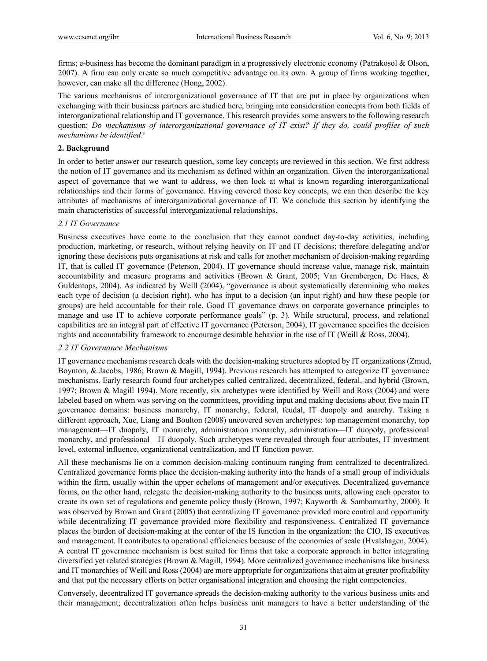firms; e-business has become the dominant paradigm in a progressively electronic economy (Patrakosol & Olson, 2007). A firm can only create so much competitive advantage on its own. A group of firms working together, however, can make all the difference (Hong, 2002).

The various mechanisms of interorganizational governance of IT that are put in place by organizations when exchanging with their business partners are studied here, bringing into consideration concepts from both fields of interorganizational relationship and IT governance. This research provides some answers to the following research question: *Do mechanisms of interorganizational governance of IT exist? If they do, could profiles of such mechanisms be identified?* 

#### **2. Background**

In order to better answer our research question, some key concepts are reviewed in this section. We first address the notion of IT governance and its mechanism as defined within an organization. Given the interorganizational aspect of governance that we want to address, we then look at what is known regarding interorganizational relationships and their forms of governance. Having covered those key concepts, we can then describe the key attributes of mechanisms of interorganizational governance of IT. We conclude this section by identifying the main characteristics of successful interorganizational relationships.

# *2.1 IT Governance*

Business executives have come to the conclusion that they cannot conduct day-to-day activities, including production, marketing, or research, without relying heavily on IT and IT decisions; therefore delegating and/or ignoring these decisions puts organisations at risk and calls for another mechanism of decision-making regarding IT, that is called IT governance (Peterson, 2004). IT governance should increase value, manage risk, maintain accountability and measure programs and activities (Brown & Grant, 2005; Van Grembergen, De Haes, & Guldentops, 2004). As indicated by Weill (2004), "governance is about systematically determining who makes each type of decision (a decision right), who has input to a decision (an input right) and how these people (or groups) are held accountable for their role. Good IT governance draws on corporate governance principles to manage and use IT to achieve corporate performance goals" (p. 3). While structural, process, and relational capabilities are an integral part of effective IT governance (Peterson, 2004), IT governance specifies the decision rights and accountability framework to encourage desirable behavior in the use of IT (Weill & Ross, 2004).

# *2.2 IT Governance Mechanisms*

IT governance mechanisms research deals with the decision-making structures adopted by IT organizations (Zmud, Boynton, & Jacobs, 1986; Brown & Magill, 1994). Previous research has attempted to categorize IT governance mechanisms. Early research found four archetypes called centralized, decentralized, federal, and hybrid (Brown, 1997; Brown & Magill 1994). More recently, six archetypes were identified by Weill and Ross (2004) and were labeled based on whom was serving on the committees, providing input and making decisions about five main IT governance domains: business monarchy, IT monarchy, federal, feudal, IT duopoly and anarchy. Taking a different approach, Xue, Liang and Boulton (2008) uncovered seven archetypes: top management monarchy, top management—IT duopoly, IT monarchy, administration monarchy, administration—IT duopoly, professional monarchy, and professional—IT duopoly. Such archetypes were revealed through four attributes, IT investment level, external influence, organizational centralization, and IT function power.

All these mechanisms lie on a common decision-making continuum ranging from centralized to decentralized. Centralized governance forms place the decision-making authority into the hands of a small group of individuals within the firm, usually within the upper echelons of management and/or executives. Decentralized governance forms, on the other hand, relegate the decision-making authority to the business units, allowing each operator to create its own set of regulations and generate policy thusly (Brown, 1997; Kayworth & Sambamurthy, 2000). It was observed by Brown and Grant (2005) that centralizing IT governance provided more control and opportunity while decentralizing IT governance provided more flexibility and responsiveness. Centralized IT governance places the burden of decision-making at the center of the IS function in the organization: the CIO, IS executives and management. It contributes to operational efficiencies because of the economies of scale (Hvalshagen, 2004). A central IT governance mechanism is best suited for firms that take a corporate approach in better integrating diversified yet related strategies (Brown & Magill, 1994). More centralized governance mechanisms like business and IT monarchies of Weill and Ross (2004) are more appropriate for organizations that aim at greater profitability and that put the necessary efforts on better organisational integration and choosing the right competencies.

Conversely, decentralized IT governance spreads the decision-making authority to the various business units and their management; decentralization often helps business unit managers to have a better understanding of the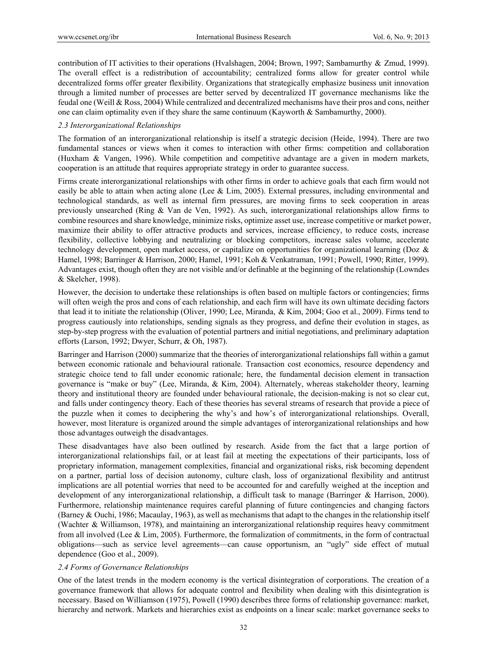contribution of IT activities to their operations (Hvalshagen, 2004; Brown, 1997; Sambamurthy & Zmud, 1999). The overall effect is a redistribution of accountability; centralized forms allow for greater control while decentralized forms offer greater flexibility. Organizations that strategically emphasize business unit innovation through a limited number of processes are better served by decentralized IT governance mechanisms like the feudal one (Weill & Ross, 2004) While centralized and decentralized mechanisms have their pros and cons, neither one can claim optimality even if they share the same continuum (Kayworth & Sambamurthy, 2000).

# *2.3 Interorganizational Relationships*

The formation of an interorganizational relationship is itself a strategic decision (Heide, 1994). There are two fundamental stances or views when it comes to interaction with other firms: competition and collaboration (Huxham & Vangen, 1996). While competition and competitive advantage are a given in modern markets, cooperation is an attitude that requires appropriate strategy in order to guarantee success.

Firms create interorganizational relationships with other firms in order to achieve goals that each firm would not easily be able to attain when acting alone (Lee & Lim, 2005). External pressures, including environmental and technological standards, as well as internal firm pressures, are moving firms to seek cooperation in areas previously unsearched (Ring & Van de Ven, 1992). As such, interorganizational relationships allow firms to combine resources and share knowledge, minimize risks, optimize asset use, increase competitive or market power, maximize their ability to offer attractive products and services, increase efficiency, to reduce costs, increase flexibility, collective lobbying and neutralizing or blocking competitors, increase sales volume, accelerate technology development, open market access, or capitalize on opportunities for organizational learning (Doz & Hamel, 1998; Barringer & Harrison, 2000; Hamel, 1991; Koh & Venkatraman, 1991; Powell, 1990; Ritter, 1999). Advantages exist, though often they are not visible and/or definable at the beginning of the relationship (Lowndes & Skelcher, 1998).

However, the decision to undertake these relationships is often based on multiple factors or contingencies; firms will often weigh the pros and cons of each relationship, and each firm will have its own ultimate deciding factors that lead it to initiate the relationship (Oliver, 1990; Lee, Miranda, & Kim, 2004; Goo et al., 2009). Firms tend to progress cautiously into relationships, sending signals as they progress, and define their evolution in stages, as step-by-step progress with the evaluation of potential partners and initial negotiations, and preliminary adaptation efforts (Larson, 1992; Dwyer, Schurr, & Oh, 1987).

Barringer and Harrison (2000) summarize that the theories of interorganizational relationships fall within a gamut between economic rationale and behavioural rationale. Transaction cost economics, resource dependency and strategic choice tend to fall under economic rationale; here, the fundamental decision element in transaction governance is "make or buy" (Lee, Miranda, & Kim, 2004). Alternately, whereas stakeholder theory, learning theory and institutional theory are founded under behavioural rationale, the decision-making is not so clear cut, and falls under contingency theory. Each of these theories has several streams of research that provide a piece of the puzzle when it comes to deciphering the why's and how's of interorganizational relationships. Overall, however, most literature is organized around the simple advantages of interorganizational relationships and how those advantages outweigh the disadvantages.

These disadvantages have also been outlined by research. Aside from the fact that a large portion of interorganizational relationships fail, or at least fail at meeting the expectations of their participants, loss of proprietary information, management complexities, financial and organizational risks, risk becoming dependent on a partner, partial loss of decision autonomy, culture clash, loss of organizational flexibility and antitrust implications are all potential worries that need to be accounted for and carefully weighed at the inception and development of any interorganizational relationship, a difficult task to manage (Barringer & Harrison, 2000). Furthermore, relationship maintenance requires careful planning of future contingencies and changing factors (Barney & Ouchi, 1986; Macaulay, 1963), as well as mechanisms that adapt to the changes in the relationship itself (Wachter & Williamson, 1978), and maintaining an interorganizational relationship requires heavy commitment from all involved (Lee & Lim, 2005). Furthermore, the formalization of commitments, in the form of contractual obligations—such as service level agreements—can cause opportunism, an "ugly" side effect of mutual dependence (Goo et al., 2009).

# *2.4 Forms of Governance Relationships*

One of the latest trends in the modern economy is the vertical disintegration of corporations. The creation of a governance framework that allows for adequate control and flexibility when dealing with this disintegration is necessary. Based on Williamson (1975), Powell (1990) describes three forms of relationship governance: market, hierarchy and network. Markets and hierarchies exist as endpoints on a linear scale: market governance seeks to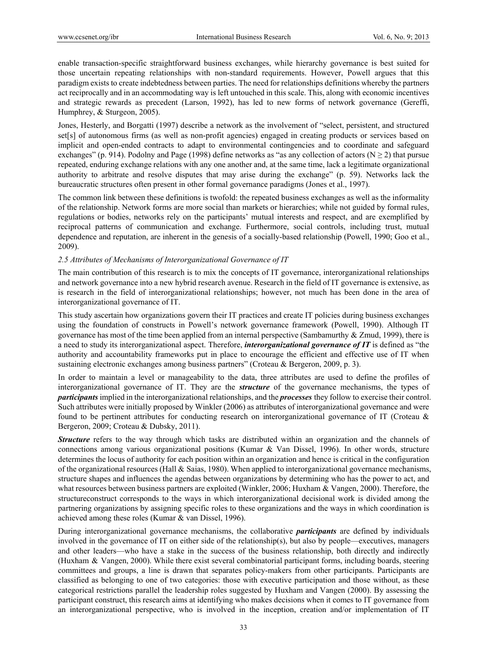enable transaction-specific straightforward business exchanges, while hierarchy governance is best suited for those uncertain repeating relationships with non-standard requirements. However, Powell argues that this paradigm exists to create indebtedness between parties. The need for relationships definitions whereby the partners act reciprocally and in an accommodating way is left untouched in this scale. This, along with economic incentives and strategic rewards as precedent (Larson, 1992), has led to new forms of network governance (Gereffi, Humphrey, & Sturgeon, 2005).

Jones, Hesterly, and Borgatti (1997) describe a network as the involvement of "select, persistent, and structured set[s] of autonomous firms (as well as non-profit agencies) engaged in creating products or services based on implicit and open-ended contracts to adapt to environmental contingencies and to coordinate and safeguard exchanges" (p. 914). Podolny and Page (1998) define networks as "as any collection of actors (N  $\geq$  2) that pursue repeated, enduring exchange relations with any one another and, at the same time, lack a legitimate organizational authority to arbitrate and resolve disputes that may arise during the exchange" (p. 59). Networks lack the bureaucratic structures often present in other formal governance paradigms (Jones et al., 1997).

The common link between these definitions is twofold: the repeated business exchanges as well as the informality of the relationship. Network forms are more social than markets or hierarchies; while not guided by formal rules, regulations or bodies, networks rely on the participants' mutual interests and respect, and are exemplified by reciprocal patterns of communication and exchange. Furthermore, social controls, including trust, mutual dependence and reputation, are inherent in the genesis of a socially-based relationship (Powell, 1990; Goo et al., 2009).

# *2.5 Attributes of Mechanisms of Interorganizational Governance of IT*

The main contribution of this research is to mix the concepts of IT governance, interorganizational relationships and network governance into a new hybrid research avenue. Research in the field of IT governance is extensive, as is research in the field of interorganizational relationships; however, not much has been done in the area of interorganizational governance of IT.

This study ascertain how organizations govern their IT practices and create IT policies during business exchanges using the foundation of constructs in Powell's network governance framework (Powell, 1990). Although IT governance has most of the time been applied from an internal perspective (Sambamurthy & Zmud, 1999), there is a need to study its interorganizational aspect. Therefore, *interorganizational governance of IT* is defined as "the authority and accountability frameworks put in place to encourage the efficient and effective use of IT when sustaining electronic exchanges among business partners" (Croteau & Bergeron, 2009, p. 3).

In order to maintain a level or manageability to the data, three attributes are used to define the profiles of interorganizational governance of IT. They are the *structure* of the governance mechanisms, the types of *participants* implied in the interorganizational relationships, and the *processes* they follow to exercise their control. Such attributes were initially proposed by Winkler (2006) as attributes of interorganizational governance and were found to be pertinent attributes for conducting research on interorganizational governance of IT (Croteau & Bergeron, 2009; Croteau & Dubsky, 2011).

*Structure* refers to the way through which tasks are distributed within an organization and the channels of connections among various organizational positions (Kumar & Van Dissel, 1996). In other words, structure determines the locus of authority for each position within an organization and hence is critical in the configuration of the organizational resources (Hall  $\&$  Saias, 1980). When applied to interorganizational governance mechanisms, structure shapes and influences the agendas between organizations by determining who has the power to act, and what resources between business partners are exploited (Winkler, 2006; Huxham & Vangen, 2000). Therefore, the structureconstruct corresponds to the ways in which interorganizational decisional work is divided among the partnering organizations by assigning specific roles to these organizations and the ways in which coordination is achieved among these roles (Kumar & van Dissel, 1996).

During interorganizational governance mechanisms, the collaborative *participants* are defined by individuals involved in the governance of IT on either side of the relationship(s), but also by people—executives, managers and other leaders—who have a stake in the success of the business relationship, both directly and indirectly (Huxham & Vangen, 2000). While there exist several combinatorial participant forms, including boards, steering committees and groups, a line is drawn that separates policy-makers from other participants. Participants are classified as belonging to one of two categories: those with executive participation and those without, as these categorical restrictions parallel the leadership roles suggested by Huxham and Vangen (2000). By assessing the participant construct, this research aims at identifying who makes decisions when it comes to IT governance from an interorganizational perspective, who is involved in the inception, creation and/or implementation of IT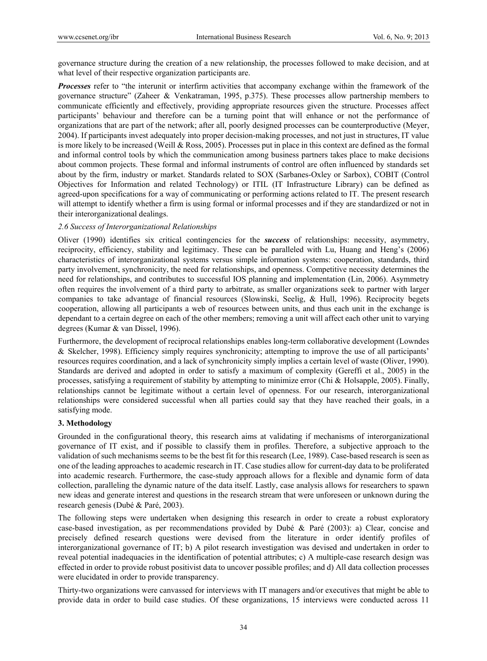governance structure during the creation of a new relationship, the processes followed to make decision, and at what level of their respective organization participants are.

*Processes* refer to "the interunit or interfirm activities that accompany exchange within the framework of the governance structure" (Zaheer & Venkatraman, 1995, p.375). These processes allow partnership members to communicate efficiently and effectively, providing appropriate resources given the structure. Processes affect participants' behaviour and therefore can be a turning point that will enhance or not the performance of organizations that are part of the network; after all, poorly designed processes can be counterproductive (Meyer, 2004). If participants invest adequately into proper decision-making processes, and not just in structures, IT value is more likely to be increased (Weill & Ross, 2005). Processes put in place in this context are defined as the formal and informal control tools by which the communication among business partners takes place to make decisions about common projects. These formal and informal instruments of control are often influenced by standards set about by the firm, industry or market. Standards related to SOX (Sarbanes-Oxley or Sarbox), COBIT (Control Objectives for Information and related Technology) or ITIL (IT Infrastructure Library) can be defined as agreed-upon specifications for a way of communicating or performing actions related to IT. The present research will attempt to identify whether a firm is using formal or informal processes and if they are standardized or not in their interorganizational dealings.

# *2.6 Success of Interorganizational Relationships*

Oliver (1990) identifies six critical contingencies for the *success* of relationships: necessity, asymmetry, reciprocity, efficiency, stability and legitimacy. These can be paralleled with Lu, Huang and Heng's (2006) characteristics of interorganizational systems versus simple information systems: cooperation, standards, third party involvement, synchronicity, the need for relationships, and openness. Competitive necessity determines the need for relationships, and contributes to successful IOS planning and implementation (Lin, 2006). Asymmetry often requires the involvement of a third party to arbitrate, as smaller organizations seek to partner with larger companies to take advantage of financial resources (Slowinski, Seelig, & Hull, 1996). Reciprocity begets cooperation, allowing all participants a web of resources between units, and thus each unit in the exchange is dependant to a certain degree on each of the other members; removing a unit will affect each other unit to varying degrees (Kumar & van Dissel, 1996).

Furthermore, the development of reciprocal relationships enables long-term collaborative development (Lowndes & Skelcher, 1998). Efficiency simply requires synchronicity; attempting to improve the use of all participants' resources requires coordination, and a lack of synchronicity simply implies a certain level of waste (Oliver, 1990). Standards are derived and adopted in order to satisfy a maximum of complexity (Gereffi et al., 2005) in the processes, satisfying a requirement of stability by attempting to minimize error (Chi & Holsapple, 2005). Finally, relationships cannot be legitimate without a certain level of openness. For our research, interorganizational relationships were considered successful when all parties could say that they have reached their goals, in a satisfying mode.

# **3. Methodology**

Grounded in the configurational theory, this research aims at validating if mechanisms of interorganizational governance of IT exist, and if possible to classify them in profiles. Therefore, a subjective approach to the validation of such mechanisms seems to be the best fit for this research (Lee, 1989). Case-based research is seen as one of the leading approaches to academic research in IT. Case studies allow for current-day data to be proliferated into academic research. Furthermore, the case-study approach allows for a flexible and dynamic form of data collection, paralleling the dynamic nature of the data itself. Lastly, case analysis allows for researchers to spawn new ideas and generate interest and questions in the research stream that were unforeseen or unknown during the research genesis (Dubé & Paré, 2003).

The following steps were undertaken when designing this research in order to create a robust exploratory case-based investigation, as per recommendations provided by Dubé & Paré (2003): a) Clear, concise and precisely defined research questions were devised from the literature in order identify profiles of interorganizational governance of IT; b) A pilot research investigation was devised and undertaken in order to reveal potential inadequacies in the identification of potential attributes; c) A multiple-case research design was effected in order to provide robust positivist data to uncover possible profiles; and d) All data collection processes were elucidated in order to provide transparency.

Thirty-two organizations were canvassed for interviews with IT managers and/or executives that might be able to provide data in order to build case studies. Of these organizations, 15 interviews were conducted across 11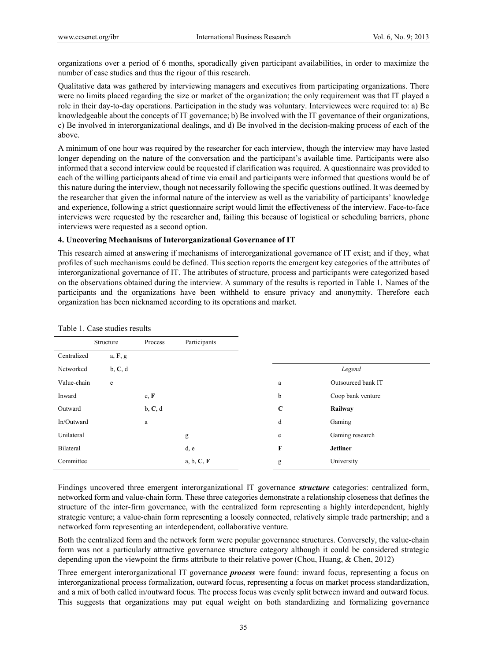organizations over a period of 6 months, sporadically given participant availabilities, in order to maximize the number of case studies and thus the rigour of this research.

Qualitative data was gathered by interviewing managers and executives from participating organizations. There were no limits placed regarding the size or market of the organization; the only requirement was that IT played a role in their day-to-day operations. Participation in the study was voluntary. Interviewees were required to: a) Be knowledgeable about the concepts of IT governance; b) Be involved with the IT governance of their organizations, c) Be involved in interorganizational dealings, and d) Be involved in the decision-making process of each of the above.

A minimum of one hour was required by the researcher for each interview, though the interview may have lasted longer depending on the nature of the conversation and the participant's available time. Participants were also informed that a second interview could be requested if clarification was required. A questionnaire was provided to each of the willing participants ahead of time via email and participants were informed that questions would be of this nature during the interview, though not necessarily following the specific questions outlined. It was deemed by the researcher that given the informal nature of the interview as well as the variability of participants' knowledge and experience, following a strict questionnaire script would limit the effectiveness of the interview. Face-to-face interviews were requested by the researcher and, failing this because of logistical or scheduling barriers, phone interviews were requested as a second option.

# **4. Uncovering Mechanisms of Interorganizational Governance of IT**

This research aimed at answering if mechanisms of interorganizational governance of IT exist; and if they, what profiles of such mechanisms could be defined. This section reports the emergent key categories of the attributes of interorganizational governance of IT. The attributes of structure, process and participants were categorized based on the observations obtained during the interview. A summary of the results is reported in Table 1. Names of the participants and the organizations have been withheld to ensure privacy and anonymity. Therefore each organization has been nicknamed according to its operations and market.

|             | Structure | Process  | Participants |             |
|-------------|-----------|----------|--------------|-------------|
| Centralized | a, F, g   |          |              |             |
| Networked   | b, C, d   |          |              |             |
| Value-chain | e         |          |              | a           |
| Inward      |           | e, F     |              | b           |
| Outward     |           | b, C, d  |              | $\mathbf C$ |
| In/Outward  |           | $\rm{a}$ |              | d           |
| Unilateral  |           |          | g            | e           |
| Bilateral   |           |          | d, e         | F           |
| Committee   |           |          | a, b, C, F   | g           |

Table 1. Case studies results

Findings uncovered three emergent interorganizational IT governance *structure* categories: centralized form, networked form and value-chain form. These three categories demonstrate a relationship closeness that defines the structure of the inter-firm governance, with the centralized form representing a highly interdependent, highly strategic venture; a value-chain form representing a loosely connected, relatively simple trade partnership; and a networked form representing an interdependent, collaborative venture.

Both the centralized form and the network form were popular governance structures. Conversely, the value-chain form was not a particularly attractive governance structure category although it could be considered strategic depending upon the viewpoint the firms attribute to their relative power (Chou, Huang, & Chen, 2012)

Three emergent interorganizational IT governance *process* were found: inward focus, representing a focus on interorganizational process formalization, outward focus, representing a focus on market process standardization, and a mix of both called in/outward focus. The process focus was evenly split between inward and outward focus. This suggests that organizations may put equal weight on both standardizing and formalizing governance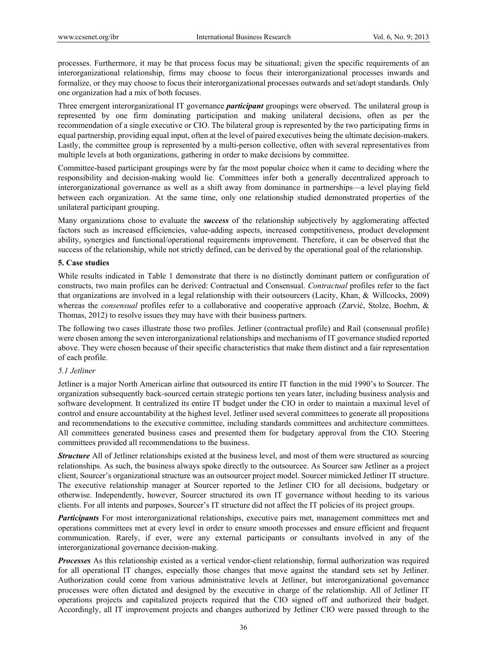processes. Furthermore, it may be that process focus may be situational; given the specific requirements of an interorganizational relationship, firms may choose to focus their interorganizational processes inwards and formalize, or they may choose to focus their interorganizational processes outwards and set/adopt standards. Only one organization had a mix of both focuses.

Three emergent interorganizational IT governance *participant* groupings were observed. The unilateral group is represented by one firm dominating participation and making unilateral decisions, often as per the recommendation of a single executive or CIO. The bilateral group is represented by the two participating firms in equal partnership, providing equal input, often at the level of paired executives being the ultimate decision-makers. Lastly, the committee group is represented by a multi-person collective, often with several representatives from multiple levels at both organizations, gathering in order to make decisions by committee.

Committee-based participant groupings were by far the most popular choice when it came to deciding where the responsibility and decision-making would lie. Committees infer both a generally decentralized approach to interorganizational governance as well as a shift away from dominance in partnerships—a level playing field between each organization. At the same time, only one relationship studied demonstrated properties of the unilateral participant grouping.

Many organizations chose to evaluate the *success* of the relationship subjectively by agglomerating affected factors such as increased efficiencies, value-adding aspects, increased competitiveness, product development ability, synergies and functional/operational requirements improvement. Therefore, it can be observed that the success of the relationship, while not strictly defined, can be derived by the operational goal of the relationship.

# **5. Case studies**

While results indicated in Table 1 demonstrate that there is no distinctly dominant pattern or configuration of constructs, two main profiles can be derived: Contractual and Consensual. *Contractual* profiles refer to the fact that organizations are involved in a legal relationship with their outsourcers (Lacity, Khan, & Willcocks, 2009) whereas the *consensual* profiles refer to a collaborative and cooperative approach (Zarvić, Stolze, Boehm, & Thomas, 2012) to resolve issues they may have with their business partners.

The following two cases illustrate those two profiles. Jetliner (contractual profile) and Rail (consensual profile) were chosen among the seven interorganizational relationships and mechanisms of IT governance studied reported above. They were chosen because of their specific characteristics that make them distinct and a fair representation of each profile.

# *5.1 Jetliner*

Jetliner is a major North American airline that outsourced its entire IT function in the mid 1990's to Sourcer. The organization subsequently back-sourced certain strategic portions ten years later, including business analysis and software development. It centralized its entire IT budget under the CIO in order to maintain a maximal level of control and ensure accountability at the highest level. Jetliner used several committees to generate all propositions and recommendations to the executive committee, including standards committees and architecture committees. All committees generated business cases and presented them for budgetary approval from the CIO. Steering committees provided all recommendations to the business.

*Structure* All of Jetliner relationships existed at the business level, and most of them were structured as sourcing relationships. As such, the business always spoke directly to the outsourcee. As Sourcer saw Jetliner as a project client, Sourcer's organizational structure was an outsourcer project model. Sourcer mimicked Jetliner IT structure. The executive relationship manager at Sourcer reported to the Jetliner CIO for all decisions, budgetary or otherwise. Independently, however, Sourcer structured its own IT governance without heeding to its various clients. For all intents and purposes, Sourcer's IT structure did not affect the IT policies of its project groups.

*Participants* For most interorganizational relationships, executive pairs met, management committees met and operations committees met at every level in order to ensure smooth processes and ensure efficient and frequent communication. Rarely, if ever, were any external participants or consultants involved in any of the interorganizational governance decision-making.

*Processes* As this relationship existed as a vertical vendor-client relationship, formal authorization was required for all operational IT changes, especially those changes that move against the standard sets set by Jetliner. Authorization could come from various administrative levels at Jetliner, but interorganizational governance processes were often dictated and designed by the executive in charge of the relationship. All of Jetliner IT operations projects and capitalized projects required that the CIO signed off and authorized their budget. Accordingly, all IT improvement projects and changes authorized by Jetliner CIO were passed through to the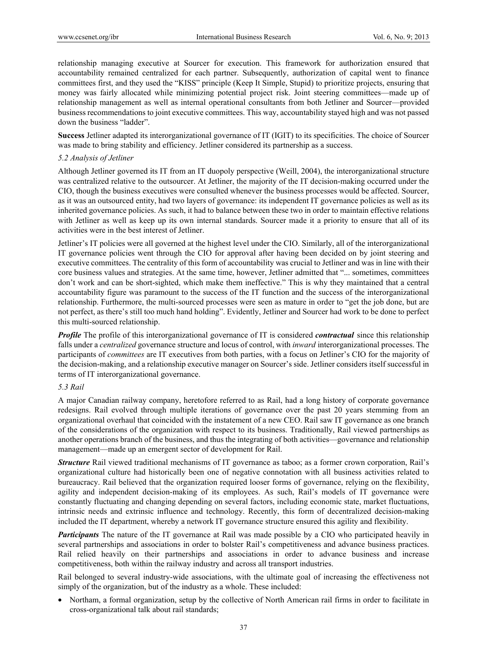relationship managing executive at Sourcer for execution. This framework for authorization ensured that accountability remained centralized for each partner. Subsequently, authorization of capital went to finance committees first, and they used the "KISS" principle (Keep It Simple, Stupid) to prioritize projects, ensuring that money was fairly allocated while minimizing potential project risk. Joint steering committees—made up of relationship management as well as internal operational consultants from both Jetliner and Sourcer—provided business recommendations to joint executive committees. This way, accountability stayed high and was not passed down the business "ladder".

**Success** Jetliner adapted its interorganizational governance of IT (IGIT) to its specificities. The choice of Sourcer was made to bring stability and efficiency. Jetliner considered its partnership as a success.

# *5.2 Analysis of Jetliner*

Although Jetliner governed its IT from an IT duopoly perspective (Weill, 2004), the interorganizational structure was centralized relative to the outsourcer. At Jetliner, the majority of the IT decision-making occurred under the CIO, though the business executives were consulted whenever the business processes would be affected. Sourcer, as it was an outsourced entity, had two layers of governance: its independent IT governance policies as well as its inherited governance policies. As such, it had to balance between these two in order to maintain effective relations with Jetliner as well as keep up its own internal standards. Sourcer made it a priority to ensure that all of its activities were in the best interest of Jetliner.

Jetliner's IT policies were all governed at the highest level under the CIO. Similarly, all of the interorganizational IT governance policies went through the CIO for approval after having been decided on by joint steering and executive committees. The centrality of this form of accountability was crucial to Jetliner and was in line with their core business values and strategies. At the same time, however, Jetliner admitted that "... sometimes, committees don't work and can be short-sighted, which make them ineffective." This is why they maintained that a central accountability figure was paramount to the success of the IT function and the success of the interorganizational relationship. Furthermore, the multi-sourced processes were seen as mature in order to "get the job done, but are not perfect, as there's still too much hand holding". Evidently, Jetliner and Sourcer had work to be done to perfect this multi-sourced relationship.

*Profile* The profile of this interorganizational governance of IT is considered *contractual* since this relationship falls under a *centralized* governance structure and locus of control, with *inward* interorganizational processes. The participants of *committees* are IT executives from both parties, with a focus on Jetliner's CIO for the majority of the decision-making, and a relationship executive manager on Sourcer's side. Jetliner considers itself successful in terms of IT interorganizational governance.

# *5.3 Rail*

A major Canadian railway company, heretofore referred to as Rail, had a long history of corporate governance redesigns. Rail evolved through multiple iterations of governance over the past 20 years stemming from an organizational overhaul that coincided with the instatement of a new CEO. Rail saw IT governance as one branch of the considerations of the organization with respect to its business. Traditionally, Rail viewed partnerships as another operations branch of the business, and thus the integrating of both activities—governance and relationship management—made up an emergent sector of development for Rail.

*Structure* Rail viewed traditional mechanisms of IT governance as taboo; as a former crown corporation, Rail's organizational culture had historically been one of negative connotation with all business activities related to bureaucracy. Rail believed that the organization required looser forms of governance, relying on the flexibility, agility and independent decision-making of its employees. As such, Rail's models of IT governance were constantly fluctuating and changing depending on several factors, including economic state, market fluctuations, intrinsic needs and extrinsic influence and technology. Recently, this form of decentralized decision-making included the IT department, whereby a network IT governance structure ensured this agility and flexibility.

*Participants* The nature of the IT governance at Rail was made possible by a CIO who participated heavily in several partnerships and associations in order to bolster Rail's competitiveness and advance business practices. Rail relied heavily on their partnerships and associations in order to advance business and increase competitiveness, both within the railway industry and across all transport industries.

Rail belonged to several industry-wide associations, with the ultimate goal of increasing the effectiveness not simply of the organization, but of the industry as a whole. These included:

• Northam, a formal organization, setup by the collective of North American rail firms in order to facilitate in cross-organizational talk about rail standards;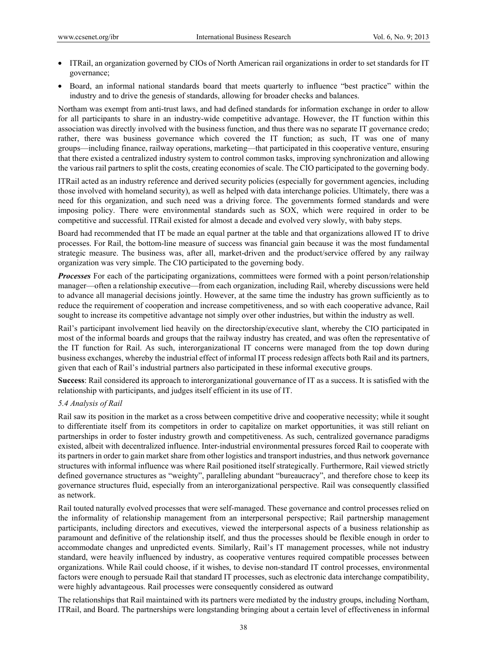- ITRail, an organization governed by CIOs of North American rail organizations in order to set standards for IT governance;
- Board, an informal national standards board that meets quarterly to influence "best practice" within the industry and to drive the genesis of standards, allowing for broader checks and balances.

Northam was exempt from anti-trust laws, and had defined standards for information exchange in order to allow for all participants to share in an industry-wide competitive advantage. However, the IT function within this association was directly involved with the business function, and thus there was no separate IT governance credo; rather, there was business governance which covered the IT function; as such, IT was one of many groups—including finance, railway operations, marketing—that participated in this cooperative venture, ensuring that there existed a centralized industry system to control common tasks, improving synchronization and allowing the various rail partners to split the costs, creating economies of scale. The CIO participated to the governing body.

ITRail acted as an industry reference and derived security policies (especially for government agencies, including those involved with homeland security), as well as helped with data interchange policies. Ultimately, there was a need for this organization, and such need was a driving force. The governments formed standards and were imposing policy. There were environmental standards such as SOX, which were required in order to be competitive and successful. ITRail existed for almost a decade and evolved very slowly, with baby steps.

Board had recommended that IT be made an equal partner at the table and that organizations allowed IT to drive processes. For Rail, the bottom-line measure of success was financial gain because it was the most fundamental strategic measure. The business was, after all, market-driven and the product/service offered by any railway organization was very simple. The CIO participated to the governing body.

*Processes* For each of the participating organizations, committees were formed with a point person/relationship manager—often a relationship executive—from each organization, including Rail, whereby discussions were held to advance all managerial decisions jointly. However, at the same time the industry has grown sufficiently as to reduce the requirement of cooperation and increase competitiveness, and so with each cooperative advance, Rail sought to increase its competitive advantage not simply over other industries, but within the industry as well.

Rail's participant involvement lied heavily on the directorship/executive slant, whereby the CIO participated in most of the informal boards and groups that the railway industry has created, and was often the representative of the IT function for Rail. As such, interorganizational IT concerns were managed from the top down during business exchanges, whereby the industrial effect of informal IT process redesign affects both Rail and its partners, given that each of Rail's industrial partners also participated in these informal executive groups.

**Success**: Rail considered its approach to interorganizational gouvernance of IT as a success. It is satisfied with the relationship with participants, and judges itself efficient in its use of IT.

# *5.4 Analysis of Rail*

Rail saw its position in the market as a cross between competitive drive and cooperative necessity; while it sought to differentiate itself from its competitors in order to capitalize on market opportunities, it was still reliant on partnerships in order to foster industry growth and competitiveness. As such, centralized governance paradigms existed, albeit with decentralized influence. Inter-industrial environmental pressures forced Rail to cooperate with its partners in order to gain market share from other logistics and transport industries, and thus network governance structures with informal influence was where Rail positioned itself strategically. Furthermore, Rail viewed strictly defined governance structures as "weighty", paralleling abundant "bureaucracy", and therefore chose to keep its governance structures fluid, especially from an interorganizational perspective. Rail was consequently classified as network.

Rail touted naturally evolved processes that were self-managed. These governance and control processes relied on the informality of relationship management from an interpersonal perspective; Rail partnership management participants, including directors and executives, viewed the interpersonal aspects of a business relationship as paramount and definitive of the relationship itself, and thus the processes should be flexible enough in order to accommodate changes and unpredicted events. Similarly, Rail's IT management processes, while not industry standard, were heavily influenced by industry, as cooperative ventures required compatible processes between organizations. While Rail could choose, if it wishes, to devise non-standard IT control processes, environmental factors were enough to persuade Rail that standard IT processes, such as electronic data interchange compatibility, were highly advantageous. Rail processes were consequently considered as outward

The relationships that Rail maintained with its partners were mediated by the industry groups, including Northam, ITRail, and Board. The partnerships were longstanding bringing about a certain level of effectiveness in informal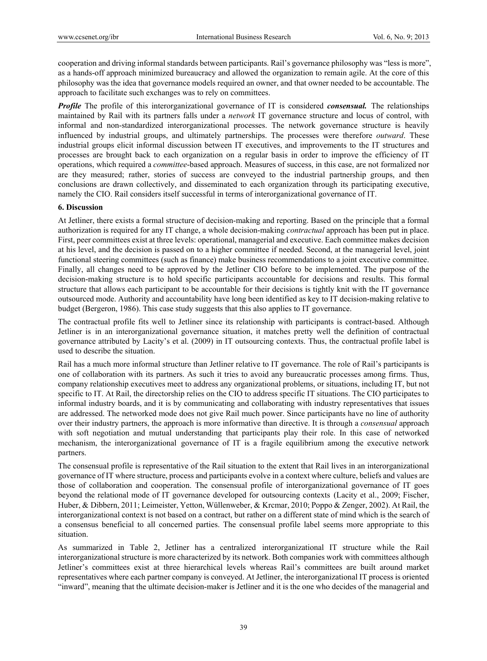cooperation and driving informal standards between participants. Rail's governance philosophy was "less is more", as a hands-off approach minimized bureaucracy and allowed the organization to remain agile. At the core of this philosophy was the idea that governance models required an owner, and that owner needed to be accountable. The approach to facilitate such exchanges was to rely on committees.

*Profile* The profile of this interorganizational governance of IT is considered *consensual*. The relationships maintained by Rail with its partners falls under a *network* IT governance structure and locus of control, with informal and non-standardized interorganizational processes. The network governance structure is heavily influenced by industrial groups, and ultimately partnerships. The processes were therefore *outward*. These industrial groups elicit informal discussion between IT executives, and improvements to the IT structures and processes are brought back to each organization on a regular basis in order to improve the efficiency of IT operations, which required a *committee*-based approach. Measures of success, in this case, are not formalized nor are they measured; rather, stories of success are conveyed to the industrial partnership groups, and then conclusions are drawn collectively, and disseminated to each organization through its participating executive, namely the CIO. Rail considers itself successful in terms of interorganizational governance of IT.

# **6. Discussion**

At Jetliner, there exists a formal structure of decision-making and reporting. Based on the principle that a formal authorization is required for any IT change, a whole decision-making *contractual* approach has been put in place. First, peer committees exist at three levels: operational, managerial and executive. Each committee makes decision at his level, and the decision is passed on to a higher committee if needed. Second, at the managerial level, joint functional steering committees (such as finance) make business recommendations to a joint executive committee. Finally, all changes need to be approved by the Jetliner CIO before to be implemented. The purpose of the decision-making structure is to hold specific participants accountable for decisions and results. This formal structure that allows each participant to be accountable for their decisions is tightly knit with the IT governance outsourced mode. Authority and accountability have long been identified as key to IT decision-making relative to budget (Bergeron, 1986). This case study suggests that this also applies to IT governance.

The contractual profile fits well to Jetliner since its relationship with participants is contract-based. Although Jetliner is in an interorganizational governance situation, it matches pretty well the definition of contractual governance attributed by Lacity's et al. (2009) in IT outsourcing contexts. Thus, the contractual profile label is used to describe the situation.

Rail has a much more informal structure than Jetliner relative to IT governance. The role of Rail's participants is one of collaboration with its partners. As such it tries to avoid any bureaucratic processes among firms. Thus, company relationship executives meet to address any organizational problems, or situations, including IT, but not specific to IT. At Rail, the directorship relies on the CIO to address specific IT situations. The CIO participates to informal industry boards, and it is by communicating and collaborating with industry representatives that issues are addressed. The networked mode does not give Rail much power. Since participants have no line of authority over their industry partners, the approach is more informative than directive. It is through a *consensual* approach with soft negotiation and mutual understanding that participants play their role. In this case of networked mechanism, the interorganizational governance of IT is a fragile equilibrium among the executive network partners.

The consensual profile is representative of the Rail situation to the extent that Rail lives in an interorganizational governance of IT where structure, process and participants evolve in a context where culture, beliefs and values are those of collaboration and cooperation. The consensual profile of interorganizational governance of IT goes beyond the relational mode of IT governance developed for outsourcing contexts (Lacity et al., 2009; Fischer, Huber, & Dibbern, 2011; Leimeister, Yetton, Wüllenweber, & Krcmar, 2010; Poppo & Zenger, 2002). At Rail, the interorganizational context is not based on a contract, but rather on a different state of mind which is the search of a consensus beneficial to all concerned parties. The consensual profile label seems more appropriate to this situation.

As summarized in Table 2, Jetliner has a centralized interorganizational IT structure while the Rail interorganizational structure is more characterized by its network. Both companies work with committees although Jetliner's committees exist at three hierarchical levels whereas Rail's committees are built around market representatives where each partner company is conveyed. At Jetliner, the interorganizational IT process is oriented "inward", meaning that the ultimate decision-maker is Jetliner and it is the one who decides of the managerial and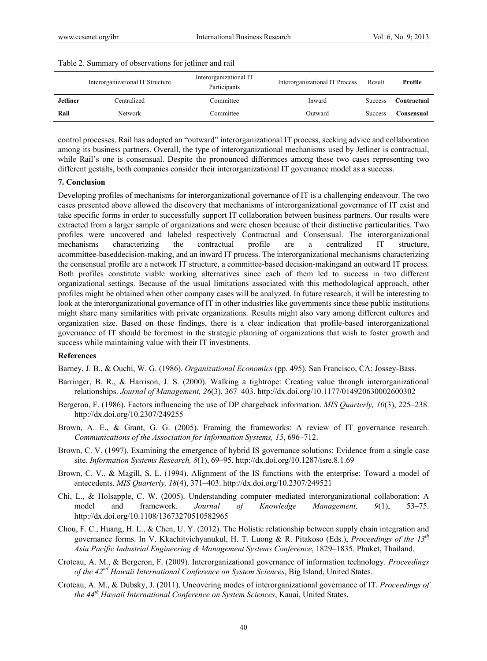|          | Interorganizational IT Structure | Interorganizational IT<br>Participants | Interorganizational IT Process | Result         | Profile           |
|----------|----------------------------------|----------------------------------------|--------------------------------|----------------|-------------------|
| Jetliner | Centralized                      | Committee                              | Inward                         | <b>Success</b> | Contractual       |
| Rail     | Network                          | Committee                              | Outward                        | <b>Success</b> | <b>Consensual</b> |

#### Table 2. Summary of observations for jetliner and rail

control processes. Rail has adopted an "outward" interorganizational IT process, seeking advice and collaboration among its business partners. Overall, the type of interorganizational mechanisms used by Jetliner is contractual, while Rail's one is consensual. Despite the pronounced differences among these two cases representing two different gestalts, both companies consider their interorganizational IT governance model as a success.

#### **7. Conclusion**

Developing profiles of mechanisms for interorganizational governance of IT is a challenging endeavour. The two cases presented above allowed the discovery that mechanisms of interorganizational governance of IT exist and take specific forms in order to successfully support IT collaboration between business partners. Our results were extracted from a larger sample of organizations and were chosen because of their distinctive particularities. Two profiles were uncovered and labeled respectively Contractual and Consensual. The interorganizational mechanisms characterizing the contractual profile are a centralized IT structure, acommittee-baseddecision-making, and an inward IT process. The interorganizational mechanisms characterizing the consensual profile are a network IT structure, a committee-based decision-makingand an outward IT process. Both profiles constitute viable working alternatives since each of them led to success in two different organizational settings. Because of the usual limitations associated with this methodological approach, other profiles might be obtained when other company cases will be analyzed. In future research, it will be interesting to look at the interorganizational governance of IT in other industries like governments since these public institutions might share many similarities with private organizations. Results might also vary among different cultures and organization size. Based on these findings, there is a clear indication that profile-based interorganizational governance of IT should be foremost in the strategic planning of organizations that wish to foster growth and success while maintaining value with their IT investments.

#### **References**

Barney, J. B., & Ouchi, W. G. (1986). *Organizational Economics* (pp. 495). San Francisco, CA: Jossey-Bass.

- Barringer, B. R., & Harrison, J. S. (2000). Walking a tightrope: Creating value through interorganizational relationships. *Journal of Management, 26*(3), 367–403. http://dx.doi.org/10.1177/014920630002600302
- Bergeron, F. (1986). Factors influencing the use of DP chargeback information. *MIS Quarterly, 10*(3), 225–238. http://dx.doi.org/10.2307/249255
- Brown, A. E., & Grant, G. G. (2005). Framing the frameworks: A review of IT governance research. *Communications of the Association for Information Systems, 15*, 696–712.
- Brown, C. V. (1997). Examining the emergence of hybrid IS governance solutions: Evidence from a single case site. *Information Systems Research, 8*(1), 69–95. http://dx.doi.org/10.1287/isre.8.1.69
- Brown, C. V., & Magill, S. L. (1994). Alignment of the IS functions with the enterprise: Toward a model of antecedents. *MIS Quarterly, 18*(4), 371–403. http://dx.doi.org/10.2307/249521
- Chi, L., & Holsapple, C. W. (2005). Understanding computer–mediated interorganizational collaboration: A model and framework. *Journal of Knowledge Management, 9*(1), 53–75. http://dx.doi.org/10.1108/13673270510582965
- Chou, F. C., Huang, H. L., & Chen, U. Y. (2012). The Holistic relationship between supply chain integration and governance forms. In V. Kkachitvichyanukul, H. T. Luong & R. Pitakoso (Eds.), *Proceedings of the 13th Asia Pacific Industrial Engineering & Management Systems Conference*, 1829–1835. Phuket, Thailand.
- Croteau, A. M., & Bergeron, F. (2009). Interorganizational governance of information technology. *Proceedings of the 42nd Hawaii International Conference on System Sciences*, Big Island, United States.
- Croteau, A. M., & Dubsky, J. (2011). Uncovering modes of interorganizational governance of IT. *Proceedings of the 44th Hawaii International Conference on System Sciences*, Kauai, United States.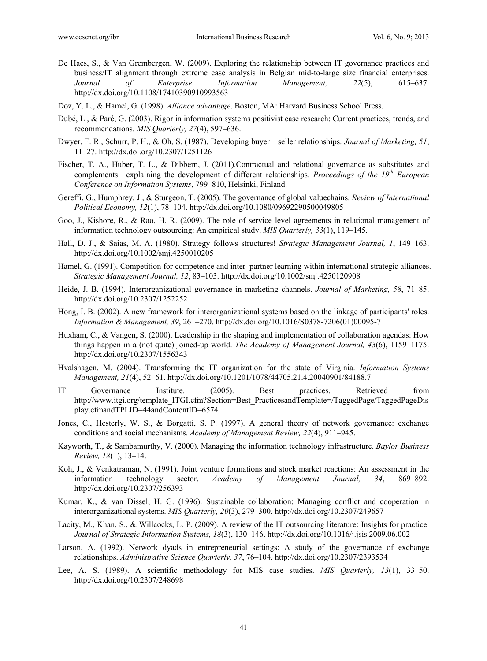- De Haes, S., & Van Grembergen, W. (2009). Exploring the relationship between IT governance practices and business/IT alignment through extreme case analysis in Belgian mid-to-large size financial enterprises. *Journal of Enterprise Information Management, 22*(5), 615–637. http://dx.doi.org/10.1108/17410390910993563
- Doz, Y. L., & Hamel, G. (1998). *Alliance advantage*. Boston, MA: Harvard Business School Press.
- Dubé, L., & Paré, G. (2003). Rigor in information systems positivist case research: Current practices, trends, and recommendations. *MIS Quarterly, 27*(4), 597–636.
- Dwyer, F. R., Schurr, P. H., & Oh, S. (1987). Developing buyer—seller relationships. *Journal of Marketing, 51*, 11–27. http://dx.doi.org/10.2307/1251126
- Fischer, T. A., Huber, T. L., & Dibbern, J. (2011).Contractual and relational governance as substitutes and complements—explaining the development of different relationships. *Proceedings of the 19th European Conference on Information Systems*, 799–810, Helsinki, Finland.
- Gereffi, G., Humphrey, J., & Sturgeon, T. (2005). The governance of global valuechains. *Review of International Political Economy, 12*(1), 78–104. http://dx.doi.org/10.1080/09692290500049805
- Goo, J., Kishore, R., & Rao, H. R. (2009). The role of service level agreements in relational management of information technology outsourcing: An empirical study. *MIS Quarterly, 33*(1), 119–145.
- Hall, D. J., & Saias, M. A. (1980). Strategy follows structures! *Strategic Management Journal, 1*, 149–163. http://dx.doi.org/10.1002/smj.4250010205
- Hamel, G. (1991). Competition for competence and inter-partner learning within international strategic alliances. *Strategic Management Journal, 12*, 83–103. http://dx.doi.org/10.1002/smj.4250120908
- Heide, J. B. (1994). Interorganizational governance in marketing channels. *Journal of Marketing, 58*, 71–85. http://dx.doi.org/10.2307/1252252
- Hong, I. B. (2002). A new framework for interorganizational systems based on the linkage of participants' roles. *Information & Management, 39*, 261–270. http://dx.doi.org/10.1016/S0378-7206(01)00095-7
- Huxham, C., & Vangen, S. (2000). Leadership in the shaping and implementation of collaboration agendas: How things happen in a (not quite) joined-up world. *The Academy of Management Journal, 43*(6), 1159–1175. http://dx.doi.org/10.2307/1556343
- Hvalshagen, M. (2004). Transforming the IT organization for the state of Virginia. *Information Systems Management, 21*(4), 52–61. http://dx.doi.org/10.1201/1078/44705.21.4.20040901/84188.7
- IT Governance Institute. (2005). Best practices. Retrieved from http://www.itgi.org/template\_ITGI.cfm?Section=Best\_PracticesandTemplate=/TaggedPage/TaggedPageDis play.cfmandTPLID=44andContentID=6574
- Jones, C., Hesterly, W. S., & Borgatti, S. P. (1997). A general theory of network governance: exchange conditions and social mechanisms. *Academy of Management Review, 22*(4), 911–945.
- Kayworth, T., & Sambamurthy, V. (2000). Managing the information technology infrastructure. *Baylor Business Review, 18*(1), 13–14.
- Koh, J., & Venkatraman, N. (1991). Joint venture formations and stock market reactions: An assessment in the information technology sector. *Academy of Management Journal, 34*, 869–892. http://dx.doi.org/10.2307/256393
- Kumar, K., & van Dissel, H. G. (1996). Sustainable collaboration: Managing conflict and cooperation in interorganizational systems. *MIS Quarterly, 20*(3), 279–300. http://dx.doi.org/10.2307/249657
- Lacity, M., Khan, S., & Willcocks, L. P. (2009). A review of the IT outsourcing literature: Insights for practice. *Journal of Strategic Information Systems, 18*(3), 130–146. http://dx.doi.org/10.1016/j.jsis.2009.06.002
- Larson, A. (1992). Network dyads in entrepreneurial settings: A study of the governance of exchange relationships. *Administrative Science Quarterly, 37*, 76–104. http://dx.doi.org/10.2307/2393534
- Lee, A. S. (1989). A scientific methodology for MIS case studies. *MIS Quarterly, 13*(1), 33–50. http://dx.doi.org/10.2307/248698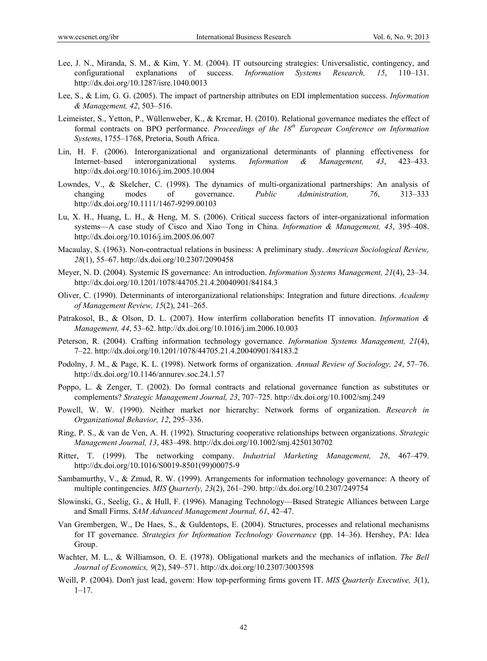- Lee, J. N., Miranda, S. M., & Kim, Y. M. (2004). IT outsourcing strategies: Universalistic, contingency, and configurational explanations of success. *Information Systems Research, 15*, 110–131. http://dx.doi.org/10.1287/isre.1040.0013
- Lee, S., & Lim, G. G. (2005). The impact of partnership attributes on EDI implementation success. *Information & Management, 42*, 503–516.
- Leimeister, S., Yetton, P., Wüllenweber, K., & Krcmar, H. (2010). Relational governance mediates the effect of formal contracts on BPO performance. *Proceedings of the 18th European Conference on Information Systems*, 1755–1768, Pretoria, South Africa.
- Lin, H. F. (2006). Interorganizational and organizational determinants of planning effectiveness for Internet–based interorganizational systems. *Information & Management, 43*, 423–433. http://dx.doi.org/10.1016/j.im.2005.10.004
- Lowndes, V., & Skelcher, C. (1998). The dynamics of multi-organizational partnerships: An analysis of changing modes of governance. *Public Administration, 76*, 313–333 http://dx.doi.org/10.1111/1467-9299.00103
- Lu, X. H., Huang, L. H., & Heng, M. S. (2006). Critical success factors of inter-organizational information systems—A case study of Cisco and Xiao Tong in China. *Information & Management, 43*, 395–408. http://dx.doi.org/10.1016/j.im.2005.06.007
- Macaulay, S. (1963). Non-contractual relations in business: A preliminary study. *American Sociological Review, 28*(1), 55–67. http://dx.doi.org/10.2307/2090458
- Meyer, N. D. (2004). Systemic IS governance: An introduction. *Information Systems Management, 21*(4), 23–34. http://dx.doi.org/10.1201/1078/44705.21.4.20040901/84184.3
- Oliver, C. (1990). Determinants of interorganizational relationships: Integration and future directions. *Academy of Management Review, 15*(2), 241–265.
- Patrakosol, B., & Olson, D. L. (2007). How interfirm collaboration benefits IT innovation. *Information & Management, 44*, 53–62. http://dx.doi.org/10.1016/j.im.2006.10.003
- Peterson, R. (2004). Crafting information technology governance. *Information Systems Management, 21*(4), 7–22. http://dx.doi.org/10.1201/1078/44705.21.4.20040901/84183.2
- Podolny, J. M., & Page, K. L. (1998). Network forms of organization. *Annual Review of Sociology, 24*, 57–76. http://dx.doi.org/10.1146/annurev.soc.24.1.57
- Poppo, L. & Zenger, T. (2002). Do formal contracts and relational governance function as substitutes or complements? *Strategic Management Journal, 23*, 707–725. http://dx.doi.org/10.1002/smj.249
- Powell, W. W. (1990). Neither market nor hierarchy: Network forms of organization. *Research in Organizational Behavior, 12*, 295–336.
- Ring, P. S., & van de Ven, A. H. (1992). Structuring cooperative relationships between organizations. *Strategic Management Journal, 13*, 483–498. http://dx.doi.org/10.1002/smj.4250130702
- Ritter, T. (1999). The networking company. *Industrial Marketing Management, 28*, 467–479. http://dx.doi.org/10.1016/S0019-8501(99)00075-9
- Sambamurthy, V., & Zmud, R. W. (1999). Arrangements for information technology governance: A theory of multiple contingencies. *MIS Quarterly, 23*(2), 261–290. http://dx.doi.org/10.2307/249754
- Slowinski, G., Seelig, G., & Hull, F. (1996). Managing Technology—Based Strategic Alliances between Large and Small Firms. *SAM Advanced Management Journal, 61*, 42–47.
- Van Grembergen, W., De Haes, S., & Guldentops, E. (2004). Structures, processes and relational mechanisms for IT governance. *Strategies for Information Technology Governance* (pp. 14–36). Hershey, PA: Idea Group.
- Wachter, M. L., & Williamson, O. E. (1978). Obligational markets and the mechanics of inflation. *The Bell Journal of Economics, 9*(2), 549–571. http://dx.doi.org/10.2307/3003598
- Weill, P. (2004). Don't just lead, govern: How top-performing firms govern IT. *MIS Quarterly Executive, 3*(1), 1–17.